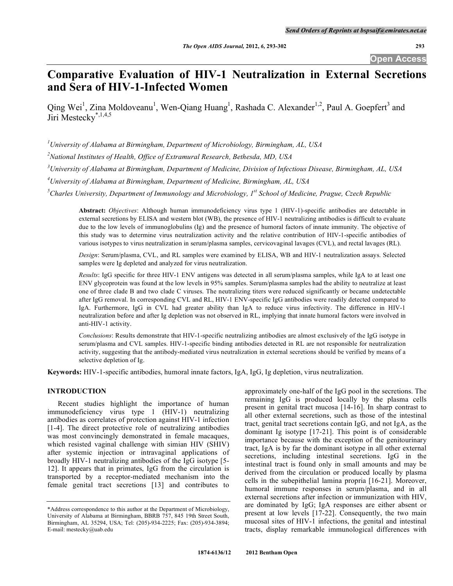**Open Access** 

# **Comparative Evaluation of HIV-1 Neutralization in External Secretions and Sera of HIV-1-Infected Women**

Qing Wei<sup>1</sup>, Zina Moldoveanu<sup>1</sup>, Wen-Qiang Huang<sup>1</sup>, Rashada C. Alexander<sup>1,2</sup>, Paul A. Goepfert<sup>3</sup> and Jiri Mestecky<sup>\*,1,4,5</sup>

*1 University of Alabama at Birmingham, Department of Microbiology, Birmingham, AL, USA* 

*2 National Institutes of Health, Office of Extramural Research, Bethesda, MD, USA* 

*3 University of Alabama at Birmingham, Department of Medicine, Division of Infectious Disease, Birmingham, AL, USA* 

*4 University of Alabama at Birmingham, Department of Medicine, Birmingham, AL, USA* 

<sup>5</sup> Charles University, Department of Immunology and Microbiology, 1<sup>st</sup> School of Medicine, Prague, Czech Republic

**Abstract:** *Objectives*: Although human immunodeficiency virus type 1 (HIV-1)-specific antibodies are detectable in external secretions by ELISA and western blot (WB), the presence of HIV-1 neutralizing antibodies is difficult to evaluate due to the low levels of immunoglobulins (Ig) and the presence of humoral factors of innate immunity. The objective of this study was to determine virus neutralization activity and the relative contribution of HIV-1-specific antibodies of various isotypes to virus neutralization in serum/plasma samples, cervicovaginal lavages (CVL), and rectal lavages (RL).

*Design*: Serum/plasma, CVL, and RL samples were examined by ELISA, WB and HIV-1 neutralization assays. Selected samples were Ig depleted and analyzed for virus neutralization.

*Results*: IgG specific for three HIV-1 ENV antigens was detected in all serum/plasma samples, while IgA to at least one ENV glycoprotein was found at the low levels in 95% samples. Serum/plasma samples had the ability to neutralize at least one of three clade B and two clade C viruses. The neutralizing titers were reduced significantly or became undetectable after IgG removal. In corresponding CVL and RL, HIV-1 ENV-specific IgG antibodies were readily detected compared to IgA. Furthermore, IgG in CVL had greater ability than IgA to reduce virus infectivity. The difference in HIV-1 neutralization before and after Ig depletion was not observed in RL, implying that innate humoral factors were involved in anti-HIV-1 activity.

*Conclusions*: Results demonstrate that HIV-1-specific neutralizing antibodies are almost exclusively of the IgG isotype in serum/plasma and CVL samples. HIV-1-specific binding antibodies detected in RL are not responsible for neutralization activity, suggesting that the antibody-mediated virus neutralization in external secretions should be verified by means of a selective depletion of Ig.

**Keywords:** HIV-1-specific antibodies, humoral innate factors, IgA, IgG, Ig depletion, virus neutralization.

# **INTRODUCTION**

 Recent studies highlight the importance of human immunodeficiency virus type 1 (HIV-1) neutralizing antibodies as correlates of protection against HIV-1 infection [1-4]. The direct protective role of neutralizing antibodies was most convincingly demonstrated in female macaques, which resisted vaginal challenge with simian HIV (SHIV) after systemic injection or intravaginal applications of broadly HIV-1 neutralizing antibodies of the IgG isotype [5- 12]. It appears that in primates, IgG from the circulation is transported by a receptor-mediated mechanism into the female genital tract secretions [13] and contributes to

approximately one-half of the IgG pool in the secretions. The remaining IgG is produced locally by the plasma cells present in genital tract mucosa [14-16]. In sharp contrast to all other external secretions, such as those of the intestinal tract, genital tract secretions contain IgG, and not IgA, as the dominant Ig isotype [17-21]. This point is of considerable importance because with the exception of the genitourinary tract, IgA is by far the dominant isotype in all other external secretions, including intestinal secretions. IgG in the intestinal tract is found only in small amounts and may be derived from the circulation or produced locally by plasma cells in the subepithelial lamina propria [16-21]. Moreover, humoral immune responses in serum/plasma, and in all external secretions after infection or immunization with HIV, are dominated by IgG; IgA responses are either absent or present at low levels [17-22]. Consequently, the two main mucosal sites of HIV-1 infections, the genital and intestinal tracts, display remarkable immunological differences with

<sup>\*</sup>Address correspondence to this author at the Department of Microbiology, University of Alabama at Birmingham, BBRB 757, 845 19th Street South, Birmingham, AL 35294, USA; Tel: (205)-934-2225; Fax: (205)-934-3894; E-mail: mestecky@uab.edu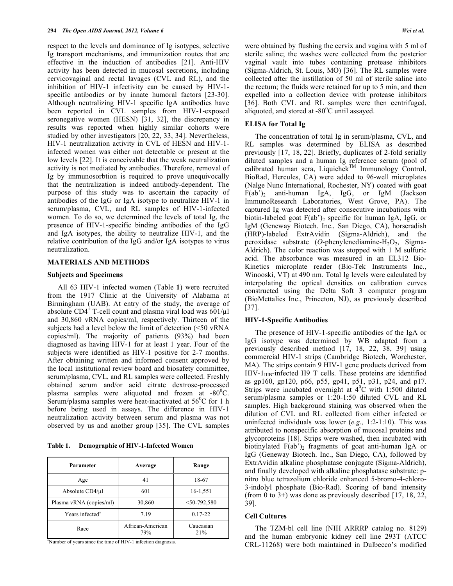respect to the levels and dominance of Ig isotypes, selective Ig transport mechanisms, and immunization routes that are effective in the induction of antibodies [21]. Anti-HIV activity has been detected in mucosal secretions, including cervicovaginal and rectal lavages (CVL and RL), and the inhibition of HIV-1 infectivity can be caused by HIV-1 specific antibodies or by innate humoral factors [23-30]. Although neutralizing HIV-1 specific IgA antibodies have been reported in CVL samples from HIV-1-exposed seronegative women (HESN) [31, 32], the discrepancy in results was reported when highly similar cohorts were studied by other investigators [20, 22, 33, 34]. Nevertheless, HIV-1 neutralization activity in CVL of HESN and HIV-1 infected women was either not detectable or present at the low levels [22]. It is conceivable that the weak neutralization activity is not mediated by antibodies. Therefore, removal of Ig by immunosorbtion is required to prove unequivocally that the neutralization is indeed antibody-dependent. The purpose of this study was to ascertain the capacity of antibodies of the IgG or IgA isotype to neutralize HIV-1 in serum/plasma, CVL, and RL samples of HIV-1-infected women. To do so, we determined the levels of total Ig, the presence of HIV-1-specific binding antibodies of the IgG and IgA isotypes, the ability to neutralize HIV-1, and the relative contribution of the IgG and/or IgA isotypes to virus neutralization.

# **MATERIALS AND METHODS**

#### **Subjects and Specimens**

 All 63 HIV-1 infected women (Table **1**) were recruited from the 1917 Clinic at the University of Alabama at Birmingham (UAB). At entry of the study, the average of absolute CD4<sup>+</sup> T-cell count and plasma viral load was  $601/\mu$ l and 30,860 vRNA copies/ml, respectively. Thirteen of the subjects had a level below the limit of detection (<50 vRNA copies/ml). The majority of patients (93%) had been diagnosed as having HIV-1 for at least 1 year. Four of the subjects were identified as HIV-1 positive for 2-7 months. After obtaining written and informed consent approved by the local institutional review board and biosafety committee, serum/plasma, CVL, and RL samples were collected. Freshly obtained serum and/or acid citrate dextrose-processed plasma samples were aliquoted and frozen at -80 $\degree$ C. Serum/plasma samples were heat-inactivated at  $56^{\circ}$ C for 1 h before being used in assays. The difference in HIV-1 neutralization activity between serum and plasma was not observed by us and another group [35]. The CVL samples

**Table 1. Demographic of HIV-1-Infected Women** 

| Parameter                   | Average                 | Range            |  |  |
|-----------------------------|-------------------------|------------------|--|--|
| Age                         | 41                      | 18-67            |  |  |
| Absolute CD4/µl             | 601                     | 16-1,551         |  |  |
| Plasma vRNA (copies/ml)     | 30,860                  | $<$ 50-792,580   |  |  |
| Years infected <sup>a</sup> | 7.19                    | $0.17 - 22$      |  |  |
| Race                        | African-American<br>79% | Caucasian<br>21% |  |  |

<sup>a</sup>Number of years since the time of HIV-1 infection diagnosis.

were obtained by flushing the cervix and vagina with 5 ml of sterile saline; the washes were collected from the posterior vaginal vault into tubes containing protease inhibitors (Sigma-Aldrich, St. Louis, MO) [36]. The RL samples were collected after the instillation of 50 ml of sterile saline into the rectum; the fluids were retained for up to 5 min, and then expelled into a collection device with protease inhibitors [36]. Both CVL and RL samples were then centrifuged, aliquoted, and stored at  $-80^{\circ}$ C until assayed.

# **ELISA for Total Ig**

 The concentration of total Ig in serum/plasma, CVL, and RL samples was determined by ELISA as described previously [17, 18, 22]. Briefly, duplicates of 2-fold serially diluted samples and a human Ig reference serum (pool of calibrated human sera, Liquichek<sup>TM</sup> Immunology Control, BioRad, Hercules, CA) were added to 96-well microplates (Nalge Nunc International, Rochester, NY) coated with goat F(ab')2 anti-human IgA, IgG, or IgM (Jackson ImmunoResearch Laboratories, West Grove, PA). The captured Ig was detected after consecutive incubations with biotin-labeled goat  $F(ab')_2$  specific for human IgA, IgG, or IgM (Geneway Biotech. Inc., San Diego, CA), horseradish (HRP)-labeled ExtrAvidin (Sigma-Aldrich), and the peroxidase substrate  $(O$ -phenylenediamine-H<sub>2</sub>O<sub>2</sub>, Sigma-Aldrich). The color reaction was stopped with 1 M sulfuric acid. The absorbance was measured in an EL312 Bio-Kinetics microplate reader (Bio-Tek Instruments Inc., Winooski, VT) at 490 nm. Total Ig levels were calculated by interpolating the optical densities on calibration curves constructed using the Delta Soft 3 computer program (BioMettalics Inc., Princeton, NJ), as previously described [37].

## **HIV-1-Specific Antibodies**

 The presence of HIV-1-specific antibodies of the IgA or IgG isotype was determined by WB adapted from a previously described method [17, 18, 22, 38, 39] using commercial HIV-1 strips (Cambridge Biotech, Worchester, MA). The strips contain 9 HIV-1 gene products derived from  $HIV-1<sub>IIB</sub>$ -infected H9 T cells. These proteins are identified as gp160, gp120, p66, p55, gp41, p51, p31, p24, and p17. Strips were incubated overnight at  $4^{\circ}$ C with 1:500 diluted serum/plasma samples or 1:20-1:50 diluted CVL and RL samples. High background staining was observed when the dilution of CVL and RL collected from either infected or uninfected individuals was lower (*e.g.,* 1:2-1:10). This was attributed to nonspecific absorption of mucosal proteins and glycoproteins [18]. Strips were washed, then incubated with biotinylated  $F(ab')_2$  fragments of goat anti-human IgA or IgG (Geneway Biotech. Inc., San Diego, CA), followed by ExtrAvidin alkaline phosphatase conjugate (Sigma-Aldrich), and finally developed with alkaline phosphatase substrate: pnitro blue tetrazolium chloride enhanced 5-bromo-4-chloro-3-indolyl phosphate (Bio-Rad). Scoring of band intensity (from 0 to 3+) was done as previously described [17, 18, 22, 39].

# **Cell Cultures**

 The TZM-bl cell line (NIH ARRRP catalog no. 8129) and the human embryonic kidney cell line 293T (ATCC CRL-11268) were both maintained in Dulbecco's modified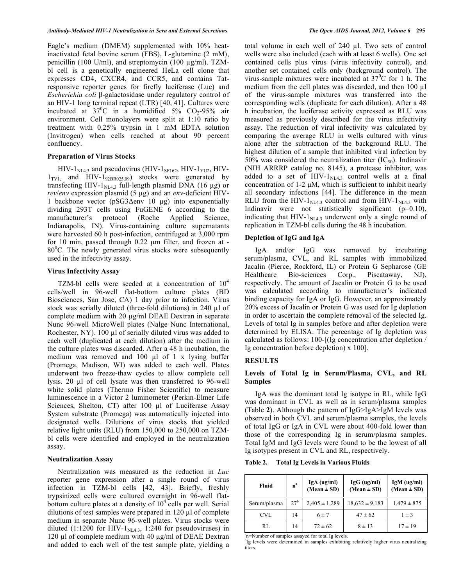Eagle's medium (DMEM) supplemented with 10% heatinactivated fetal bovine serum (FBS), L-glutamine (2 mM), penicillin (100 U/ml), and streptomycin (100  $\mu$ g/ml). TZMbl cell is a genetically engineered HeLa cell clone that expresses CD4, CXCR4, and CCR5, and contains Tatresponsive reporter genes for firefly luciferase (Luc) and *Escherichia coli* β-galactosidase under regulatory control of an HIV-1 long terminal repeat (LTR) [40, 41]. Cultures were incubated at  $37^0$ C in a humidified  $5\%$  CO<sub>2</sub>-95% air environment. Cell monolayers were split at 1:10 ratio by treatment with 0.25% trypsin in 1 mM EDTA solution (Invitrogen) when cells reached at about 90 percent confluency.

# **Preparation of Virus Stocks**

HIV- $1_{\text{NL4.3}}$  and pseudovirus (HIV- $1_{\text{SF162}}$ , HIV- $1_{\text{YU2}}$ , HIV- $1_{\text{TV1}}$  and HIV-1<sub>92BR025.09</sub>) stocks were generated by transfecting HIV-1 $_{\text{NL4.3}}$  full-length plasmid DNA (16  $\mu$ g) or *rev/env* expression plasmid (5 μg) and an *env*-deficient HIV-1 backbone vector ( $pSG3\Delta env$  10 µg) into exponentially dividing 293T cells using FuGENE 6 according to the manufacturer's protocol (Roche Applied Science, Indianapolis, IN). Virus-containing culture supernatants were harvested 60 h post-infection, centrifuged at 3,000 rpm for 10 min, passed through  $0.22 \mu m$  filter, and frozen at -80<sup>°</sup>C. The newly generated virus stocks were subsequently used in the infectivity assay.

# **Virus Infectivity Assay**

TZM-bl cells were seeded at a concentration of  $10^4$ cells/well in 96-well flat-bottom culture plates (BD Biosciences, San Jose, CA) 1 day prior to infection. Virus stock was serially diluted (three-fold dilutions) in 240  $\mu$ l of complete medium with  $20 \mu g/ml$  DEAE Dextran in separate Nunc 96-well MicroWell plates (Nalge Nunc International, Rochester, NY).  $100 \mu l$  of serially diluted virus was added to each well (duplicated at each dilution) after the medium in the culture plates was discarded. After a 48 h incubation, the medium was removed and  $100 \mu l$  of 1 x lysing buffer (Promega, Madison, WI) was added to each well. Plates underwent two freeze-thaw cycles to allow complete cell lysis. 20 µl of cell lysate was then transferred to 96-well white solid plates (Thermo Fisher Scientific) to measure luminescence in a Victor 2 luminometer (Perkin-Elmer Life Sciences, Shelton, CT) after  $100 \mu l$  of Luciferase Assay System substrate (Promega) was automatically injected into designated wells. Dilutions of virus stocks that yielded relative light units (RLU) from 150,000 to 250,000 on TZMbl cells were identified and employed in the neutralization assay.

# **Neutralization Assay**

 Neutralization was measured as the reduction in *Luc* reporter gene expression after a single round of virus infection in TZM-bl cells [42, 43]. Briefly, freshly trypsinized cells were cultured overnight in 96-well flatbottom culture plates at a density of  $10^4$  cells per well. Serial dilutions of test samples were prepared in  $120 \mu$ l of complete medium in separate Nunc 96-well plates. Virus stocks were diluted (1:1200 for HIV- $1<sub>NLA.3</sub>$ , 1:240 for pseudoviruses) in 120  $\mu$ l of complete medium with 40  $\mu$ g/ml of DEAE Dextran and added to each well of the test sample plate, yielding a

total volume in each well of 240 µl. Two sets of control wells were also included (each with at least 6 wells). One set contained cells plus virus (virus infectivity control), and another set contained cells only (background control). The virus-sample mixtures were incubated at  $37^{\circ}$ C for 1 h. The medium from the cell plates was discarded, and then  $100 \mu l$ of the virus-sample mixtures was transferred into the corresponding wells (duplicate for each dilution). After a 48 h incubation, the luciferase activity expressed as RLU was measured as previously described for the virus infectivity assay. The reduction of viral infectivity was calculated by comparing the average RLU in wells cultured with virus alone after the subtraction of the background RLU. The highest dilution of a sample that inhibited viral infection by 50% was considered the neutralization titer  $(IC_{50})$ . Indinavir (NIH ARRRP catalog no. 8145), a protease inhibitor, was added to a set of HIV- $1<sub>NLA,3</sub>$  control wells at a final concentration of 1-2 μM, which is sufficient to inhibit nearly all secondary infections [44]. The difference in the mean RLU from the HIV-1<sub>NL4.3</sub> control and from HIV-1<sub>NL4.3</sub> with Indinavir were not statistically significant (p=0.10), indicating that  $HIV-1<sub>NLA.3</sub>$  underwent only a single round of replication in TZM-bl cells during the 48 h incubation.

#### **Depletion of IgG and IgA**

 IgA and/or IgG was removed by incubating serum/plasma, CVL, and RL samples with immobilized Jacalin (Pierce, Rockford, IL) or Protein G Sepharose (GE Healthcare Bio-sciences Corp., Piscataway, NJ), respectively. The amount of Jacalin or Protein G to be used was calculated according to manufacturer's indicated binding capacity for IgA or IgG. However, an approximately 20% excess of Jacalin or Protein G was used for Ig depletion in order to ascertain the complete removal of the selected Ig. Levels of total Ig in samples before and after depletion were determined by ELISA. The percentage of Ig depletion was calculated as follows: 100-[(Ig concentration after depletion / Ig concentration before depletion) x 100].

#### **RESULTS**

# **Levels of Total Ig in Serum/Plasma, CVL, and RL Samples**

 IgA was the dominant total Ig isotype in RL, while IgG was dominant in CVL as well as in serum/plasma samples (Table **2**). Although the pattern of IgG>IgA>IgM levels was observed in both CVL and serum/plasma samples, the levels of total IgG or IgA in CVL were about 400-fold lower than those of the corresponding Ig in serum/plasma samples. Total IgM and IgG levels were found to be the lowest of all Ig isotypes present in CVL and RL, respectively.

**Table 2. Total Ig Levels in Various Fluids** 

| <b>Fluid</b> | n <sup>a</sup>  | IgA (ug/ml)<br>$(Mean \pm SD)$ | IgG (ug/ml)<br>$(Mean \pm SD)$ | $IgM$ (ug/ml)<br>$(Mean \pm SD)$ |  |  |
|--------------|-----------------|--------------------------------|--------------------------------|----------------------------------|--|--|
| Serum/plasma | 27 <sup>b</sup> | $2,405 \pm 1,289$              | $18,632 \pm 9,183$             | $1,479 \pm 875$                  |  |  |
| CVL          | 14              | $6 \pm 7$                      | $47 \pm 62$                    | $1 \pm 3$                        |  |  |
| RL           | 14              | $72 \pm 62$                    | $8 \pm 13$                     | $17 \pm 19$                      |  |  |

a<sub>n</sub>=Number of samples assayed for total Ig levels.

<sup>b</sup>Ig levels were determined in samples exhibiting relatively higher virus neutralizing titers.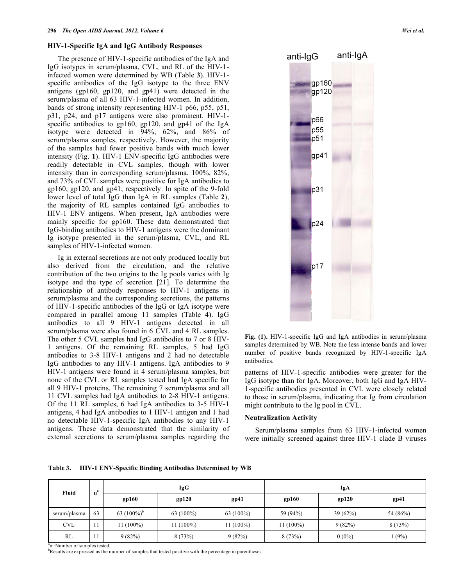## **HIV-1-Specific IgA and IgG Antibody Responses**

 The presence of HIV-1-specific antibodies of the IgA and IgG isotypes in serum/plasma, CVL, and RL of the HIV-1 infected women were determined by WB (Table **3**). HIV-1 specific antibodies of the IgG isotype to the three ENV antigens (gp160, gp120, and gp41) were detected in the serum/plasma of all 63 HIV-1-infected women. In addition, bands of strong intensity representing HIV-1 p66, p55, p51, p31, p24, and p17 antigens were also prominent. HIV-1 specific antibodies to gp160, gp120, and gp41 of the IgA isotype were detected in 94%, 62%, and 86% of serum/plasma samples, respectively. However, the majority of the samples had fewer positive bands with much lower intensity (Fig. **1**). HIV-1 ENV-specific IgG antibodies were readily detectable in CVL samples, though with lower intensity than in corresponding serum/plasma. 100%, 82%, and 73% of CVL samples were positive for IgA antibodies to gp160, gp120, and gp41, respectively. In spite of the 9-fold lower level of total IgG than IgA in RL samples (Table **2**), the majority of RL samples contained IgG antibodies to HIV-1 ENV antigens. When present, IgA antibodies were mainly specific for gp160. These data demonstrated that IgG-binding antibodies to HIV-1 antigens were the dominant Ig isotype presented in the serum/plasma, CVL, and RL samples of HIV-1-infected women.

 Ig in external secretions are not only produced locally but also derived from the circulation, and the relative contribution of the two origins to the Ig pools varies with Ig isotype and the type of secretion [21]. To determine the relationship of antibody responses to HIV-1 antigens in serum/plasma and the corresponding secretions, the patterns of HIV-1-specific antibodies of the IgG or IgA isotype were compared in parallel among 11 samples (Table **4**). IgG antibodies to all 9 HIV-1 antigens detected in all serum/plasma were also found in 6 CVL and 4 RL samples. The other 5 CVL samples had IgG antibodies to 7 or 8 HIV-1 antigens. Of the remaining RL samples, 5 had IgG antibodies to 3-8 HIV-1 antigens and 2 had no detectable IgG antibodies to any HIV-1 antigens. IgA antibodies to 9 HIV-1 antigens were found in 4 serum/plasma samples, but none of the CVL or RL samples tested had IgA specific for all 9 HIV-1 proteins. The remaining 7 serum/plasma and all 11 CVL samples had IgA antibodies to 2-8 HIV-1 antigens. Of the 11 RL samples, 6 had IgA antibodies to 3-5 HIV-1 antigens, 4 had IgA antibodies to 1 HIV-1 antigen and 1 had no detectable HIV-1-specific IgA antibodies to any HIV-1 antigens. These data demonstrated that the similarity of external secretions to serum/plasma samples regarding the



**Fig. (1).** HIV-1-specific IgG and IgA antibodies in serum/plasma samples determined by WB. Note the less intense bands and lower number of positive bands recognized by HIV-1-specific IgA antibodies.

patterns of HIV-1-specific antibodies were greater for the IgG isotype than for IgA. Moreover, both IgG and IgA HIV-1-specific antibodies presented in CVL were closely related to those in serum/plasma, indicating that Ig from circulation might contribute to the Ig pool in CVL.

# **Neutralization Activity**

 Serum/plasma samples from 63 HIV-1-infected women were initially screened against three HIV-1 clade B viruses

**Table 3. HIV-1 ENV-Specific Binding Antibodies Determined by WB** 

| Fluid        | n" |                | <b>IgG</b>   |             | IgA         |          |          |  |  |  |
|--------------|----|----------------|--------------|-------------|-------------|----------|----------|--|--|--|
|              |    | gp160          | gp120        | gp41        | gp160       | gp120    | gp41     |  |  |  |
| serum/plasma | 63 | 63 $(100\%)^b$ | 63 $(100\%)$ | $63(100\%)$ | 59 (94%)    | 39(62%)  | 54 (86%) |  |  |  |
| <b>CVL</b>   |    | 11 (100%)      | $11(100\%)$  | $11(100\%)$ | $11(100\%)$ | 9(82%)   | 8(73%)   |  |  |  |
| RL           |    | 9(82%)         | 8(73%)       | 9(82%)      | 8(73%)      | $0(0\%)$ | (9%)     |  |  |  |

a<sub>n</sub>=Number of samples tested.

b Results are expressed as the number of samples that tested positive with the percentage in parentheses.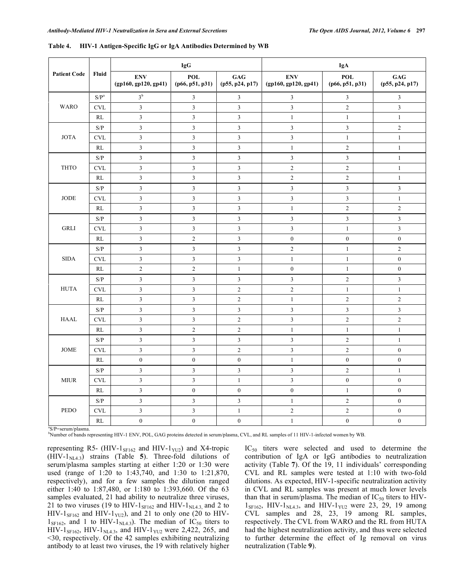|                     |                                                                 |                                    | <b>IgG</b>              |                                   |                                    | <b>IgA</b>              |                                   |
|---------------------|-----------------------------------------------------------------|------------------------------------|-------------------------|-----------------------------------|------------------------------------|-------------------------|-----------------------------------|
| <b>Patient Code</b> | Fluid                                                           | <b>ENV</b><br>(gp160, gp120, gp41) | POL<br>(p66, p51, p31)  | $\mathbf{GAG}$<br>(p55, p24, p17) | <b>ENV</b><br>(gp160, gp120, gp41) | POL<br>(p66, p51, p31)  | $\mathbf{GAG}$<br>(p55, p24, p17) |
|                     | $\ensuremath{\mathrm{S}}\xspace/\ensuremath{\mathrm{P}}^a$      | 3 <sup>b</sup>                     | $\mathfrak{Z}$          | 3                                 | $\mathfrak{Z}$                     | $\mathfrak{Z}$          | 3                                 |
| <b>WARO</b>         | <b>CVL</b>                                                      | $\mathfrak{Z}$                     | $\mathfrak{Z}$          | $\overline{3}$                    | $\mathfrak{Z}$                     | $\overline{2}$          | $\overline{3}$                    |
|                     | RL                                                              | $\mathfrak{Z}$                     | $\overline{3}$          | $\mathfrak{Z}$                    | $\,1\,$                            | $\mathbf{1}$            | $\mathbf{1}$                      |
|                     | $\ensuremath{\mathrm{S}}\xspace/\ensuremath{\mathrm{P}}\xspace$ | $\mathfrak{Z}$                     | $\overline{\mathbf{3}}$ | $\overline{\mathbf{3}}$           | $\mathfrak{Z}$                     | $\mathfrak{Z}$          | $\overline{c}$                    |
| <b>JOTA</b>         | <b>CVL</b>                                                      | $\mathfrak{Z}$                     | $\overline{\mathbf{3}}$ | $\overline{\mathbf{3}}$           | $\overline{\mathbf{3}}$            | $\mathbf{1}$            | $\mathbf{1}$                      |
|                     | RL                                                              | $\mathfrak{Z}$                     | $\overline{\mathbf{3}}$ | $\overline{\mathbf{3}}$           | $\,1\,$                            | $\overline{c}$          | $\mathbf{1}$                      |
|                     | $\ensuremath{\mathrm{S}}\xspace/\ensuremath{\mathrm{P}}\xspace$ | $\mathfrak{Z}$                     | $\overline{\mathbf{3}}$ | $\mathfrak{Z}$                    | $\mathfrak z$                      | $\mathfrak{Z}$          | $\mathbf{1}$                      |
| <b>THTO</b>         | $\ensuremath{\text{CVL}}$                                       | $\mathfrak{Z}$                     | $\overline{\mathbf{3}}$ | $\mathfrak{Z}$                    | $\sqrt{2}$                         | $\overline{c}$          | $\mathbf{1}$                      |
|                     | RL                                                              | $\mathfrak{Z}$                     | $\overline{\mathbf{3}}$ | $\mathfrak{Z}$                    | $\overline{2}$                     | $\overline{2}$          | $\mathbf{1}$                      |
|                     | S/P                                                             | $\mathfrak{Z}$                     | $\overline{\mathbf{3}}$ | $\overline{3}$                    | $\mathfrak z$                      | $\mathfrak{Z}$          | $\overline{\mathbf{3}}$           |
| $\rm JODE$          | <b>CVL</b>                                                      | $\mathfrak z$                      | $\overline{\mathbf{3}}$ | $\overline{\mathbf{3}}$           | $\overline{\mathbf{3}}$            | $\overline{\mathbf{3}}$ | $\,1$                             |
|                     | RL                                                              | $\overline{\mathbf{3}}$            | $\overline{\mathbf{3}}$ | $\overline{\mathbf{3}}$           | $\,1$                              | $\overline{c}$          | $\overline{c}$                    |
|                     | $\ensuremath{\mathrm{S}}\xspace/\ensuremath{\mathrm{P}}\xspace$ | $\mathfrak{Z}$                     | 3                       | $\mathfrak{Z}$                    | $\sqrt{3}$                         | $\mathfrak{Z}$          | $\mathfrak{Z}$                    |
| <b>GRLI</b>         | <b>CVL</b>                                                      | $\overline{3}$                     | $\overline{\mathbf{3}}$ | $\mathfrak z$                     | $\overline{\mathbf{3}}$            | $\,1$                   | $\overline{\mathbf{3}}$           |
|                     | RL                                                              | $\mathfrak{Z}$                     | $\boldsymbol{2}$        | $\mathfrak{Z}$                    | $\boldsymbol{0}$                   | $\boldsymbol{0}$        | $\boldsymbol{0}$                  |
|                     | $\ensuremath{\mathrm{S}}\xspace/\ensuremath{\mathrm{P}}\xspace$ | $\mathfrak{Z}$                     | $\overline{\mathbf{3}}$ | $\mathfrak{Z}$                    | $\sqrt{2}$                         | $\,1$                   | $\overline{c}$                    |
| <b>SIDA</b>         | <b>CVL</b>                                                      | $\mathfrak{Z}$                     | 3                       | $\mathfrak{Z}$                    | $\,1\,$                            | $\mathbf{1}$            | $\boldsymbol{0}$                  |
|                     | RL                                                              | $\sqrt{2}$                         | $\overline{c}$          | $\mathbf{1}$                      | $\boldsymbol{0}$                   | $\mathbf{1}$            | $\boldsymbol{0}$                  |
|                     | $\ensuremath{\mathrm{S}}\xspace/\ensuremath{\mathrm{P}}\xspace$ | $\mathfrak{Z}$                     | $\overline{\mathbf{3}}$ | $\overline{3}$                    | $\mathfrak z$                      | $\overline{c}$          | $\mathfrak{Z}$                    |
| <b>HUTA</b>         | <b>CVL</b>                                                      | $\overline{3}$                     | $\overline{\mathbf{3}}$ | $\overline{c}$                    | $\overline{c}$                     | $\,1\,$                 | $\mathbf{1}$                      |
|                     | RL                                                              | $\overline{3}$                     | $\overline{\mathbf{3}}$ | $\overline{c}$                    | $\mathbf{1}$                       | $\overline{2}$          | $\overline{c}$                    |
|                     | $\ensuremath{\mathrm{S}}\xspace/\ensuremath{\mathrm{P}}\xspace$ | $\mathfrak z$                      | $\overline{\mathbf{3}}$ | $\overline{\mathbf{3}}$           | $\overline{3}$                     | $\overline{\mathbf{3}}$ | $\overline{\mathbf{3}}$           |
| <b>HAAL</b>         | $\ensuremath{\mathrm{CVL}}$                                     | $\mathfrak{Z}$                     | $\overline{\mathbf{3}}$ | $\sqrt{2}$                        | $\overline{3}$                     | $\overline{c}$          | $\overline{c}$                    |
|                     | $\mathbf{RL}$                                                   | $\mathfrak{Z}$                     | $\overline{c}$          | $\sqrt{2}$                        | $\,1\,$                            | $\mathbf{1}$            | $\mathbf{1}$                      |
|                     | $\ensuremath{\mathrm{S}}\xspace/\ensuremath{\mathrm{P}}\xspace$ | $\mathfrak z$                      | $\mathfrak{Z}$          | $\mathfrak{Z}$                    | $\sqrt{3}$                         | $\overline{c}$          | $\mathbf{1}$                      |
| JOME                | <b>CVL</b>                                                      | $\mathfrak z$                      | $\overline{\mathbf{3}}$ | $\overline{c}$                    | $\overline{\mathbf{3}}$            | $\overline{c}$          | $\boldsymbol{0}$                  |
|                     | RL                                                              | $\boldsymbol{0}$                   | $\boldsymbol{0}$        | $\boldsymbol{0}$                  | $\,1\,$                            | $\overline{0}$          | $\boldsymbol{0}$                  |
|                     | $\ensuremath{\mathrm{S}}\xspace/\ensuremath{\mathrm{P}}\xspace$ | $\mathfrak{Z}$                     | $\overline{\mathbf{3}}$ | $\mathfrak{Z}$                    | $\mathfrak{Z}$                     | $\overline{c}$          | $\mathbf{1}$                      |
| $\text{MIUR}{}$     | <b>CVL</b>                                                      | $\mathfrak{Z}$                     | $\overline{\mathbf{3}}$ | $\mathbf{1}$                      | $\overline{3}$                     | $\boldsymbol{0}$        | $\boldsymbol{0}$                  |
|                     | RL                                                              | $\mathfrak{Z}$                     | $\boldsymbol{0}$        | $\boldsymbol{0}$                  | $\boldsymbol{0}$                   | $\mathbf{1}$            | $\boldsymbol{0}$                  |
|                     | $\ensuremath{\mathrm{S}}\xspace/\ensuremath{\mathrm{P}}\xspace$ | $\mathfrak{Z}$                     | $\overline{\mathbf{3}}$ | $\overline{\mathbf{3}}$           | $\,1\,$                            | $\overline{c}$          | $\boldsymbol{0}$                  |
| <b>PEDO</b>         | <b>CVL</b>                                                      | $\mathfrak z$                      | $\mathfrak{Z}$          | $\mathbf{1}$                      | $\sqrt{2}$                         | $\overline{c}$          | $\boldsymbol{0}$                  |
|                     | RL                                                              | $\boldsymbol{0}$                   | $\boldsymbol{0}$        | $\boldsymbol{0}$                  | $\,1\,$                            | $\boldsymbol{0}$        | $\boldsymbol{0}$                  |

**Table 4. HIV-1 Antigen-Specific IgG or IgA Antibodies Determined by WB** 

S/P=serum/plasma.

b Number of bands representing HIV-1 ENV, POL, GAG proteins detected in serum/plasma, CVL, and RL samples of 11 HIV-1-infected women by WB.

representing R5- (HIV- $1_{\text{SFI62}}$  and HIV- $1_{\text{YU2}}$ ) and X4-tropic  $(HIV-1<sub>NLA3</sub>)$  strains (Table 5). Three-fold dilutions of serum/plasma samples starting at either 1:20 or 1:30 were used (range of 1:20 to 1:43,740, and 1:30 to 1:21,870, respectively), and for a few samples the dilution ranged either 1:40 to 1:87,480, or 1:180 to 1:393,660. Of the 63 samples evaluated, 21 had ability to neutralize three viruses, 21 to two viruses (19 to HIV-1 $_{\text{SF162}}$  and HIV-1 $_{\text{NL4.3}}$  and 2 to HIV-1 $_{\text{SFI62}}$  and HIV-1 $_{\text{YU2}}$ ), and 21 to only one (20 to HIV- $1_{\text{SF162}}$ , and 1 to HIV- $1_{\text{NL4.3}}$ ). The median of IC<sub>50</sub> titers to  $HIV-1_{\text{SFI62}}$ , HIV-1<sub>NL4.3</sub>, and HIV-1<sub>YU2</sub> were 2,422, 265, and <30, respectively. Of the 42 samples exhibiting neutralizing antibody to at least two viruses, the 19 with relatively higher

 $IC_{50}$  titers were selected and used to determine the contribution of IgA or IgG antibodies to neutralization activity (Table **7**). Of the 19, 11 individuals' corresponding CVL and RL samples were tested at 1:10 with two-fold dilutions. As expected, HIV-1-specific neutralization activity in CVL and RL samples was present at much lower levels than that in serum/plasma. The median of  $IC_{50}$  titers to HIV- $1_{\text{SF}162}$ , HIV- $1_{\text{NL4.3}}$ , and HIV- $1_{\text{YU2}}$  were 23, 29, 19 among CVL samples and 28, 23, 19 among RL samples, respectively. The CVL from WARO and the RL from HUTA had the highest neutralization activity, and thus were selected to further determine the effect of Ig removal on virus neutralization (Table **9**).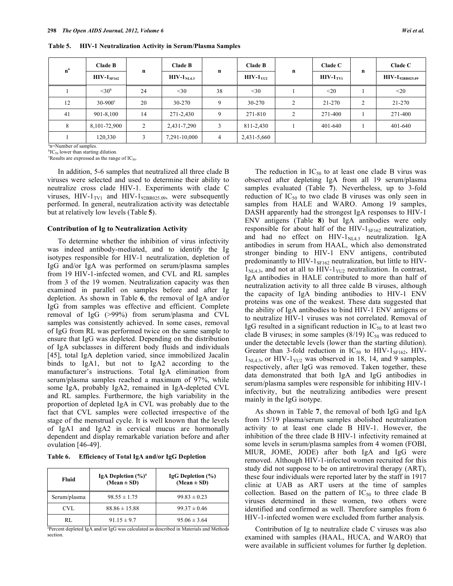**Table 5. HIV-1 Neutralization Activity in Serum/Plasma Samples** 

| n <sup>a</sup> | <b>Clade B</b>              | $\mathbf n$ | <b>Clade B</b> |             | <b>Clade B</b> |                | Clade C    |   | Clade C                         |
|----------------|-----------------------------|-------------|----------------|-------------|----------------|----------------|------------|---|---------------------------------|
|                | $\rm{HIV\text{-}1}_{SF162}$ |             | $HIV-1NL4.3$   | $\mathbf n$ | $HIV-1YU2$     | $\mathbf n$    | $HIV-1TVI$ | n | $\rm HIV\text{-}1_{92BR025.09}$ |
|                | $<$ 30 <sup>b</sup>         | 24          | $<$ 30         | 38          | $<$ 30         |                | $<$ 20     |   | $<$ 20                          |
| 12             | $30 - 900^{\circ}$          | 20          | 30-270         | 9           | 30-270         | $\overline{c}$ | 21-270     | 2 | $21 - 270$                      |
| 41             | 901-8,100                   | 14          | 271-2,430      | 9           | 271-810        | $\overline{c}$ | 271-400    |   | 271-400                         |
| 8              | 8,101-72,900                | 2           | 2,431-7,290    | 3           | 811-2,430      |                | 401-640    |   | 401-640                         |
|                | 120,330                     | 3           | 7,291-10,000   | 4           | 2,431-5,660    |                |            |   |                                 |

<sup>a</sup>n=Number of samples.

 ${}^{b}IC_{50}$  lower than starting dilution.  $c$ Results are expressed as the range of IC<sub>50</sub>.

 In addition, 5-6 samples that neutralized all three clade B viruses were selected and used to determine their ability to neutralize cross clade HIV-1. Experiments with clade C viruses,  $HIV-1_{TV1}$  and  $HIV-1_{92B R025.09}$ , were subsequently performed. In general, neutralization activity was detectable but at relatively low levels (Table **5**).

#### **Contribution of Ig to Neutralization Activity**

 To determine whether the inhibition of virus infectivity was indeed antibody-mediated, and to identify the Ig isotypes responsible for HIV-1 neutralization, depletion of IgG and/or IgA was performed on serum/plasma samples from 19 HIV-1-infected women, and CVL and RL samples from 3 of the 19 women. Neutralization capacity was then examined in parallel on samples before and after Ig depletion. As shown in Table **6**, the removal of IgA and/or IgG from samples was effective and efficient. Complete removal of IgG (>99%) from serum/plasma and CVL samples was consistently achieved. In some cases, removal of IgG from RL was performed twice on the same sample to ensure that IgG was depleted. Depending on the distribution of IgA subclasses in different body fluids and individuals [45], total IgA depletion varied, since immobilized Jacalin binds to IgA1, but not to IgA2 according to the manufacturer's instructions. Total IgA elimination from serum/plasma samples reached a maximum of 97%, while some IgA, probably IgA2, remained in IgA-depleted CVL and RL samples. Furthermore, the high variability in the proportion of depleted IgA in CVL was probably due to the fact that CVL samples were collected irrespective of the stage of the menstrual cycle. It is well known that the levels of IgA1 and IgA2 in cervical mucus are hormonally dependent and display remarkable variation before and after ovulation [46-49].

| Table 6. | <b>Efficiency of Total IgA and/or IgG Depletion</b> |
|----------|-----------------------------------------------------|
|          |                                                     |

| Fluid        | IgA Depletion $(\frac{6}{6})^a$<br>$(Mean \pm SD)$ | IgG Depletion (%)<br>$(Mean \pm SD)$ |
|--------------|----------------------------------------------------|--------------------------------------|
| Serum/plasma | $98.55 \pm 1.75$                                   | $99.83 \pm 0.23$                     |
| CVL          | $88.86 \pm 15.88$                                  | $99.37 \pm 0.46$                     |
| RL           | $91.15 \pm 9.7$                                    | $95.06 \pm 3.64$                     |

a Percent depleted IgA and/or IgG was calculated as described in Materials and Methods section.

The reduction in  $IC_{50}$  to at least one clade B virus was observed after depleting IgA from all 19 serum/plasma samples evaluated (Table **7**). Nevertheless, up to 3-fold reduction of  $IC_{50}$  to two clade B viruses was only seen in samples from HALE and WARO. Among 19 samples, DASH apparently had the strongest IgA responses to HIV-1 ENV antigens (Table **8**) but IgA antibodies were only responsible for about half of the HIV- $1_{SF162}$  neutralization, and had no effect on  $HIV-1<sub>NLA.3</sub>$  neutralization. IgA antibodies in serum from HAAL, which also demonstrated stronger binding to HIV-1 ENV antigens, contributed predominantly to HIV-1 $_{SF162}$  neutralization, but little to HIV- $1<sub>NLA.3</sub>$ , and not at all to HIV- $1<sub>YU2</sub>$  neutralization. In contrast, IgA antibodies in HALE contributed to more than half of neutralization activity to all three calde B viruses, although the capacity of IgA binding antibodies to HIV-1 ENV proteins was one of the weakest. These data suggested that the ability of IgA antibodies to bind HIV-1 ENV antigens or to neutralize HIV-1 viruses was not correlated. Removal of IgG resulted in a significant reduction in  $IC_{50}$  to at least two clade B viruses; in some samples  $(8/19)$  IC<sub>50</sub> was reduced to under the detectable levels (lower than the starting dilution). Greater than 3-fold reduction in  $IC_{50}$  to HIV-1<sub>SF162</sub>, HIV- $1<sub>NLA.3</sub>$ , or HIV- $1<sub>YU2</sub>$  was observed in 18, 14, and 9 samples, respectively, after IgG was removed. Taken together, these data demonstrated that both IgA and IgG antibodies in serum/plasma samples were responsible for inhibiting HIV-1 infectivity, but the neutralizing antibodies were present mainly in the IgG isotype.

 As shown in Table **7**, the removal of both IgG and IgA from 15/19 plasma/serum samples abolished neutralization activity to at least one clade B HIV-1. However, the inhibition of the three clade B HIV-1 infectivity remained at some levels in serum/plasma samples from 4 women (FOBI, MIUR, JOME, JODE) after both IgA and IgG were removed. Although HIV-1-infected women recruited for this study did not suppose to be on antiretroviral therapy (ART), these four individuals were reported later by the staff in 1917 clinic at UAB as ART users at the time of samples collection. Based on the pattern of  $IC_{50}$  to three clade B viruses determined in these women, two others were identified and confirmed as well. Therefore samples from 6 HIV-1-infected women were excluded from further analysis.

 Contribution of Ig to neutralize clade C viruses was also examined with samples (HAAL, HUCA, and WARO) that were available in sufficient volumes for further Ig depletion.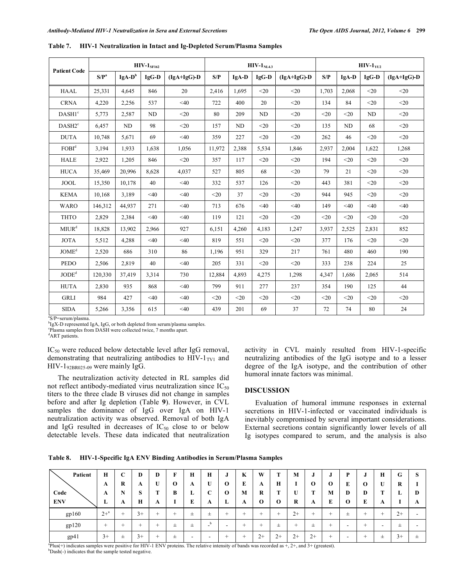| <b>Patient Code</b>          |         |           | $HIV-1SF162$   |               |        |                | $HIV-1NI43$    |               |       |        | $HIV-1YU2$     |               |
|------------------------------|---------|-----------|----------------|---------------|--------|----------------|----------------|---------------|-------|--------|----------------|---------------|
|                              | $S/P^a$ | $IgA-D^b$ | IgG-D          | $(IgA+IgG)-D$ | S/P    | IgA-D          | IgG-D          | $(IgA+IgG)-D$ | S/P   | IgA-D  | IgG-D          | $(IgA+IgG)-D$ |
| <b>HAAL</b>                  | 25,331  | 4.645     | 846            | 20            | 2,416  | 1.695          | $20$           | $20$          | 1.703 | 2.068  | $20$           | $20$          |
| <b>CRNA</b>                  | 4,220   | 2,256     | 537            | $<$ 40        | 722    | 400            | 20             | $20$          | 134   | 84     | $20$           | $20$          |
| DASH1 <sup>c</sup>           | 5,773   | 2,587     | N <sub>D</sub> | $20$          | 80     | 209            | N <sub>D</sub> | $20$          | $20$  | $20$   | N <sub>D</sub> | $20$          |
| DASH2 <sup>c</sup>           | 6,457   | ND        | 98             | $20$          | 157    | N <sub>D</sub> | $20$           | $20$          | 135   | ND     | 68             | $20$          |
| <b>DUTA</b>                  | 10,748  | 5.671     | 69             | $<$ 40        | 359    | 227            | $20$           | $20$          | 262   | 46     | $20$           | $20$          |
| FOBI <sup>d</sup>            | 3,194   | 1,933     | 1,638          | 1,056         | 11,972 | 2,388          | 5,534          | 1,846         | 2,937 | 2,004  | 1,622          | 1,268         |
| <b>HALE</b>                  | 2,922   | 1,205     | 846            | $20$          | 357    | 117            | $20$           | $20$          | 194   | $20$   | $20$           | $20$          |
| <b>HUCA</b>                  | 35,469  | 20,996    | 8,628          | 4,037         | 527    | 805            | 68             | $<$ 20        | 79    | 21     | $20$           | $20$          |
| <b>JOOL</b>                  | 15,350  | 10.178    | 40             | $<$ 40        | 332    | 537            | 126            | $20$          | 443   | 381    | $20$           | $20$          |
| <b>KEMA</b>                  | 10,168  | 3.189     | $<$ 40         | $<$ 40        | $20$   | 37             | $20$           | $20$          | 944   | 945    | $20$           | $20$          |
| <b>WARO</b>                  | 146,312 | 44.937    | 271            | $<$ 40        | 713    | 676            | <40            | $<$ 40        | 149   | $<$ 40 | $<$ 40         | $<$ 40        |
| <b>THTO</b>                  | 2,829   | 2,384     | $<$ 40         | $<$ 40        | 119    | 121            | $20$           | $20$          | $20$  | $20$   | $20$           | $20$          |
| MIUR <sup>d</sup>            | 18,828  | 13,902    | 2.966          | 927           | 6,151  | 4,260          | 4,183          | 1,247         | 3.937 | 2,525  | 2,831          | 852           |
| <b>JOTA</b>                  | 5,512   | 4,288     | $<$ 40         | $<$ 40        | 819    | 551            | $20$           | $20$          | 377   | 176    | $20$           | $20$          |
| $\text{JOME}^{\text{d}}$     | 2,520   | 686       | 310            | 86            | 1,196  | 951            | 329            | 217           | 761   | 480    | 460            | 190           |
| <b>PEDO</b>                  | 2,506   | 2,819     | 40             | $<$ 40        | 205    | 331            | $20$           | $<$ 20        | 333   | 238    | 224            | 25            |
| $\mathrm{JODE}^{\mathrm{d}}$ | 120,330 | 37.419    | 3.314          | 730           | 12.884 | 4.893          | 4.275          | 1,298         | 4.347 | 1.686  | 2,065          | 514           |
| <b>HUTA</b>                  | 2,830   | 935       | 868            | $<$ 40        | 799    | 911            | 277            | 237           | 354   | 190    | 125            | 44            |
| <b>GRLI</b>                  | 984     | 427       | $<$ 40         | $<$ 40        | $<$ 20 | $20$           | $20$           | $<$ 20        | $20$  | $20$   | $20$           | $<$ 20        |
| <b>SIDA</b>                  | 5,266   | 3,356     | 615            | $<$ 40        | 439    | 201            | 69             | 37            | 72    | 74     | 80             | 24            |

**Table 7. HIV-1 Neutralization in Intact and Ig-Depleted Serum/Plasma Samples** 

a S/P=serum/plasma.

<sup>b</sup>IgX-D represented IgA, IgG, or both depleted from serum/plasma samples.

c Plasma samples from DASH were collected twice, 7 months apart.

<sup>d</sup>ART patients.

IC50 were reduced below detectable level after IgG removal, demonstrating that neutralizing antibodies to  $HIV-1<sub>TVI</sub>$  and HIV-192BR025.09 were mainly IgG.

 The neutralization activity detected in RL samples did not reflect antibody-mediated virus neutralization since  $IC_{50}$ titers to the three clade B viruses did not change in samples before and after Ig depletion (Table **9**). However, in CVL samples the dominance of IgG over IgA on HIV-1 neutralization activity was observed. Removal of both IgA and IgG resulted in decreases of  $IC_{50}$  close to or below detectable levels. These data indicated that neutralization activity in CVL mainly resulted from HIV-1-specific neutralizing antibodies of the IgG isotype and to a lesser degree of the IgA isotype, and the contribution of other humoral innate factors was minimal.

# **DISCUSSION**

 Evaluation of humoral immune responses in external secretions in HIV-1-infected or vaccinated individuals is inevitably compromised by several important considerations. External secretions contain significantly lower levels of all Ig isotypes compared to serum, and the analysis is also

**Table 8. HIV-1-Specific IgA ENV Binding Antibodies in Serum/Plasma Samples** 

| Patient    | Н        | ⌒<br>◡   | D           | D | F            | H | H      | .,       | K | W           |              | M    | J            | J           | P        |              | H      | G    | Ø            |
|------------|----------|----------|-------------|---|--------------|---|--------|----------|---|-------------|--------------|------|--------------|-------------|----------|--------------|--------|------|--------------|
|            | A        | R        | A           | U | $\mathbf{o}$ | A | U      | 0        | E | A           | Н            |      | $\mathbf{o}$ | $\mathbf 0$ | E        | $\mathbf{o}$ | U      | R    |              |
| Code       | A        | N        | S           | m | B            | L | C      | $\Omega$ | M | R           |              | U    | <b>TT</b>    | M           | D        | Ð            | т      | ≖    | D            |
| <b>ENV</b> | ≖        | A        | $\mathbf H$ | A |              | E | A      | L        | A | $\mathbf 0$ | $\mathbf{o}$ | R    | A            | E           | $\Omega$ | E            | A      |      | $\mathbf{A}$ |
| gp160      | $2 + ^a$ | <b>+</b> | $3+$        |   |              | 土 | 士      | +        | + | -           |              | $2+$ | +            | $\div$      | 士        | ÷            | $\div$ | $2+$ |              |
|            |          |          |             |   |              |   |        |          |   |             |              |      |              |             |          |              |        |      |              |
| gp120      | $^+$     |          | +           |   | 士            | 士 | b<br>- | -        |   | -           | 士            | +    | 土            | $\div$      |          | -            | -      | 士    |              |

 ${}^{a}$ Plus(+) indicates samples were positive for HIV-1 ENV proteins. The relative intensity of bands was recorded as  $+$ ,  $2+$ , and  $3+$  (greatest). b<sub>Dash</sub>(-) indicates that the sample tested negative.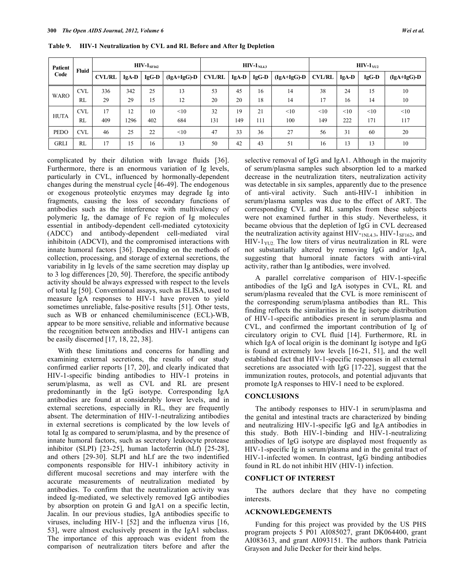| Patient<br>Fluid |            |               |         | $\rm{HIV-1}_{SF162}$ |               |               |         | $\text{HIV-1}_{\text{NLA3}}$ |               | $HIV-1YU2$    |         |         |               |  |
|------------------|------------|---------------|---------|----------------------|---------------|---------------|---------|------------------------------|---------------|---------------|---------|---------|---------------|--|
| Code             |            | <b>CVL/RL</b> | $IgA-D$ | IgG-D                | $(IgA+IgG)-D$ | <b>CVL/RL</b> | $IgA-D$ | $IgG-D$                      | $(IgA+IgG)-D$ | <b>CVL/RL</b> | $IgA-D$ | $IgG-D$ | $(IgA+IgG)-D$ |  |
|                  | <b>CVL</b> | 336           | 342     | 25                   | 13            | 53            | 45      | 16                           | 14            | 38            | 24      | 15      | 10            |  |
| <b>WARO</b>      | RL         | 29            | 29      | 15                   | 12            | 20            | 20      | 18                           | 14            | 17            | 16      | 14      | 10            |  |
|                  | <b>CVL</b> | 17            | 12      | 10                   | <10           | 32            | 19      | 21                           | <10           | <10           | <10     | <10     | <10           |  |
| <b>HUTA</b>      | RL         | 409           | 1296    | 402                  | 684           | 131           | 149     | 111                          | 100           | 149           | 222     | 171     | 117           |  |
| <b>PEDO</b>      | <b>CVL</b> | 46            | 25      | 22                   | <10           | 47            | 33      | 36                           | 27            | 56            | 31      | 60      | 20            |  |
| <b>GRLI</b>      | RL         | 17            | 15      | 16                   | 13            | 50            | 42      | 43                           | 51            | 16            | 13      | 13      | 10            |  |

**Table 9. HIV-1 Neutralization by CVL and RL Before and After Ig Depletion** 

complicated by their dilution with lavage fluids [36]. Furthermore, there is an enormous variation of Ig levels, particularly in CVL, influenced by hormonally-dependent changes during the menstrual cycle [46-49]. The endogenous or exogenous proteolytic enzymes may degrade Ig into fragments, causing the loss of secondary functions of antibodies such as the interference with multivalency of polymeric Ig, the damage of Fc region of Ig molecules essential in antibody-dependent cell-mediated cytotoxicity (ADCC) and antibody-dependent cell-mediated viral inhibitoin (ADCVI), and the compromised interactions with innate humoral factors [36]. Depending on the methods of collection, processing, and storage of external secretions, the variability in Ig levels of the same secretion may display up to 3 log differences [20, 50]. Therefore, the specific antibody activity should be always expressed with respect to the levels of total Ig [50]. Conventional assays, such as ELISA, used to measure IgA responses to HIV-1 have proven to yield sometimes unreliable, false-positive results [51]. Other tests, such as WB or enhanced chemiluminiscence (ECL)-WB, appear to be more sensitive, reliable and informative because the recognition between antibodies and HIV-1 antigens can be easily discerned [17, 18, 22, 38].

 With these limitations and concerns for handling and examining external secretions, the results of our study confirmed earlier reports [17, 20], and clearly indicated that HIV-1-specific binding antibodies to HIV-1 proteins in serum/plasma, as well as CVL and RL are present predominantly in the IgG isotype. Corresponding IgA antibodies are found at considerably lower levels, and in external secretions, especially in RL, they are frequently absent. The determination of HIV-1-neutralizing antibodies in external secretions is complicated by the low levels of total Ig as compared to serum/plasma, and by the presence of innate humoral factors, such as secretory leukocyte protease inhibitor (SLPI) [23-25], human lactoferrin (hLf) [25-28], and others [29-30]. SLPI and hLf are the two indentified components responsible for HIV-1 inhibitory activity in different mucosal secretions and may interfere with the accurate measurements of neutralization mediated by antibodies. To confirm that the neutralization activity was indeed Ig-mediated, we selectively removed IgG antibodies by absorption on protein G and IgA1 on a specific lectin, Jacalin. In our previous studies, IgA antibodies specific to viruses, including HIV-1 [52] and the influenza virus [16, 53], were almost exclusively present in the IgA1 subclass. The importance of this approach was evident from the comparison of neutralization titers before and after the

selective removal of IgG and IgA1. Although in the majority of serum/plasma samples such absorption led to a marked decrease in the neutralization titers, neutralization activity was detectable in six samples, apparently due to the presence of anti-viral activity. Such anti-HIV-1 inhibition in serum/plasma samples was due to the effect of ART. The corresponding CVL and RL samples from these subjects were not examined further in this study. Nevertheless, it became obvious that the depletion of IgG in CVL decreased the neutralization activity against  $HIV_{-1NL4,3}$ ,  $HIV_{-1ST162}$ , and  $HIV-1<sub>YU2</sub>$  The low titers of virus neutralization in RL were not substantially altered by removing IgG and/or IgA, suggesting that humoral innate factors with anti-viral activity, rather than Ig antibodies, were involved.

 A parallel correlative comparison of HIV-1-specific antibodies of the IgG and IgA isotypes in CVL, RL and serum/plasma revealed that the CVL is more reminiscent of the corresponding serum/plasma antibodies than RL. This finding reflects the similarities in the Ig isotype distribution of HIV-1-specific antibodies present in serum/plasma and CVL, and confirmed the important contribution of Ig of circulatory origin to CVL fluid [14]. Furthermore, RL in which IgA of local origin is the dominant Ig isotype and IgG is found at extremely low levels [16-21, 51], and the well established fact that HIV-1-specific responses in all external secretions are associated with IgG [17-22], suggest that the immunization routes, protocols, and potential adjuvants that promote IgA responses to HIV-1 need to be explored.

# **CONCLUSIONS**

 The antibody responses to HIV-1 in serum/plasma and the genital and intestinal tracts are characterized by binding and neutralizing HIV-1-specific IgG and IgA antibodies in this study. Both HIV-1-binding and HIV-1-neutralizing antibodies of IgG isotype are displayed most frequently as HIV-1-specific Ig in serum/plasma and in the genital tract of HIV-1-infected women. In contrast, IgG binding antibodies found in RL do not inhibit HIV (HIV-1) infection.

# **CONFLICT OF INTEREST**

 The authors declare that they have no competing interests.

# **ACKNOWLEDGEMENTS**

 Funding for this project was provided by the US PHS program projects 5 P01 AI085027, grant DK064400, grant AI083613, and grant AI093151. The authors thank Patricia Grayson and Julie Decker for their kind helps.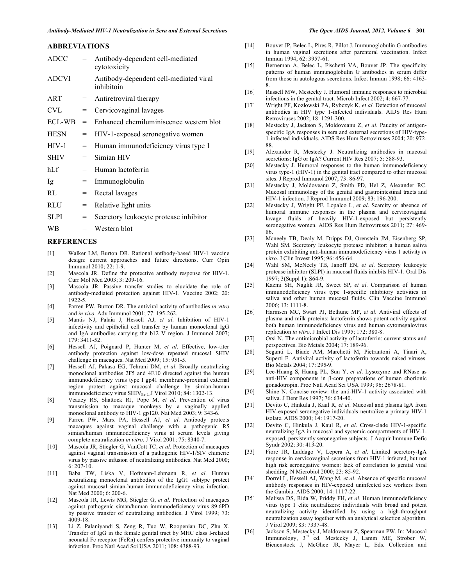## **ABBREVIATIONS**

| <b>ADCC</b>  |     | Antibody-dependent cell-mediated<br>cytotoxicity     |
|--------------|-----|------------------------------------------------------|
| <b>ADCVI</b> | $=$ | Antibody-dependent cell-mediated viral<br>inhibitoin |
| ART          | $=$ | Antiretroviral therapy                               |
| <b>CVL</b>   | $=$ | Cervicovaginal lavages                               |
| ECL-WB       | $=$ | Enhanced chemiluminiscence western blot              |
| <b>HESN</b>  | $=$ | HIV-1-exposed seronegative women                     |
| $HIV-1$      | $=$ | Human immunodeficiency virus type 1                  |
| <b>SHIV</b>  | $=$ | Simian HIV                                           |
| hLf          | $=$ | Human lactoferrin                                    |
| Ig           | $=$ | Immunoglobulin                                       |
| RL           | $=$ | Rectal lavages                                       |
| <b>RLU</b>   | $=$ | Relative light units                                 |
| <b>SLPI</b>  | =   | Secretory leukocyte protease inhibitor               |
| WВ           | $=$ | Western blot                                         |
|              |     |                                                      |

## **REFERENCES**

- [1] Walker LM, Burton DR. Rational antibody-based HIV-1 vaccine design: current approaches and future directions. Curr Opin Immunol 2010; 22: 1-9.
- [2] Mascola JR. Define the protective antibody response for HIV-1. Curr Mol Med 2003; 3: 209-16.
- [3] Mascola JR. Passive transfer studies to elucidate the role of antibody-mediated protection against HIV-1. Vaccine 2002; 20: 1922-5.
- [4] Parren PW, Burton DR. The antiviral activity of antibodies *in vitro* and *in vivo*. Adv Immunol 2001; 77: 195-262.
- [5] Mantis NJ, Palaia J, Hessell AJ, *et al*. Inhibition of HIV-1 infectivity and epithelial cell transfer by human monoclonal IgG and IgA antibodies carrying the b12 V region. J Immunol 2007; 179: 3411-52.
- [6] Hessell AJ, Poignard P, Hunter M, *et al*. Effective, low-titer antibody protection against low-dose repeated mucosal SHIV challenge in macaques. Nat Med 2009; 15: 951-5.
- [7] Hessell AJ, Pakasa EG, Tehrani DM, *et al*. Broadly neutralizing monoclonal antibodies 2F5 and 4E10 directed against the human immunodeficiency virus type I gp41 membrane-proximal external region protect against mucosal challenge by simian-human immunodeficiency virus SHIV<sub>Ba-L.</sub> J Virol 2010; 84: 1302-13.
- [8] Veazey RS, Shattock RJ, Pope M, *et al*. Prevention of virus transmission to macaque monkeys by a vaginally applied monoclonal antibody to HIV-1 gp120. Nat Med 2003; 9: 343-6.
- [9] Parren PW, Marx PA, Hessell AJ, *et al*. Antibody protects macaques against vaginal challenge with a pathogenic R5 simian/human immunodeficiency virus at serum levels giving complete neutralization *in vitro*. J Virol 2001; 75: 8340-7.
- [10] Mascola JR, Stiegler G, VanCott TC, *et al*. Protection of macaques against vaginal transmission of a pathogenic HIV-1/SIV chimeric virus by passive infusion of neutralizing antibodies. Nat Med 2000; 6: 207-10.
- [11] Baba TW, Liska V, Hofmann-Lehmann R, *et al*. Human neutralizing monoclonal antibodies of the IgG1 subtype protect against mucosal simian-human immunodeficiency virus infection. Nat Med 2000; 6: 200-6.
- [12] Mascola JR, Lewis MG, Stiegler G, *et al*. Protection of macaques against pathogenic siman/human immunodeficiency virus 89.6PD by passive transfer of neutralizing antibodies. J Virol 1999; 73: 4009-18.
- [13] Li Z, Palaniyandi S, Zeng R, Tuo W, Roopenian DC, Zhu X. Transfer of IgG in the female genital tract by MHC class I-related neonatal Fc receptor (FcRn) confers protective immunity to vaginal infection. Proc Natl Acad Sci USA 2011; 108: 4388-93.
- [14] Bouvet JP, Belec L, Pires R, Pillot J. Immunoglobulin G antibodies in human vaginal secretions after parenteral vaccination. Infect Immun 1994; 62: 3957-61.
- [15] Berneman A, Belec L, Fischetti VA, Bouvet JP. The specificity patterns of human immunoglobulin G antibodies in serum differ from those in autologous secretions. Infect Immun 1998; 66: 4163- 8.
- [16] Russell MW, Mestecky J. Humoral immune responses to microbial infections in the genital tract. Microb Infect 2002; 4: 667-77.
- [17] Wright PF, Kozlowski PA, Rybczyk K, *et al*. Detection of mucosal antibodies in HIV type 1-infected individuals. AIDS Res Hum Retroviruses 2002; 18: 1291-300.
- [18] Mestecky J, Jackson S, Moldoveanu Z, *et al*. Paucity of antigenspecific IgA responses in sera and external secretions of HIV-type-1-infected individuals. AIDS Res Hum Retroviruses 2004; 20: 972- 88.
- [19] Alexander R, Mestecky J. Neutralizing antibodies in mucosal secretions: IgG or IgA? Current HIV Res 2007; 5: 588-93.
- [20] Mestecky J. Humoral responses to the human immunodeficiency virus type-1 (HIV-1) in the genital tract compared to other mucosal sites. J Reprod Immunol 2007; 73: 86-97.
- [21] Mestecky J, Moldoveanu Z, Smith PD, Hel Z, Alexander RC. Mucosal immunology of the genital and gastrointestinal tracts and HIV-1 infection. J Reprod Immunol 2009; 83: 196-200.
- [22] Mestecky J, Wright PF, Lopalco L, *et al*. Scarcity or absence of humoral immune responses in the plasma and cervicovaginal lavage fluids of heavily HIV-1-exposed but persistently seronegative women. AIDS Res Hum Retroviruses 2011; 27: 469- 86.
- [23] Mcneely TB, Dealy M, Dripps DJ, Orenstein JM, Eisenberg SP, Wahl SM. Secretory leukocyte protease inhibitor: a human saliva protein exhibiting anti-human immunodeficiency virus 1 activity *in vitro*. J Clin Invest 1995; 96: 456-64.
- [24] Wahl SM, McNeely TB, Janoff EN, *et al*. Secretory leukocyte protease inhibitor (SLPI) in mucosal fluids inhibits HIV-1. Oral Dis 1997; 3(Suppl 1): S64-9.
- [25] Kazmi SH, Naglik JR, Sweet SP, *et al*. Comparison of human immunodeficiency virus type 1-specific inhibitory activities in saliva and other human mucosal fluids. Clin Vaccine Immunol 2006; 13: 1111-8.
- [26] Harmsen MC, Swart PJ, Bethune MP, *et al*. Antiviral effects of plasma and milk proteins: lactoferrin shows potent activity against both human immunodeficiency virus and human cytomegalovirus replication *in vitro*. J Infect Dis 1995; 172: 380-8.
- [27] Orsi N. The antimicrobial activity of lactoferrin: current status and perspectives. Bio Metals 2004; 17: 189-96.
- [28] Seganti L, Biade AM, Marchetti M, Pietrantoni A, Tinari A, Superti F. Antiviral activity of lactoferrin towards naked viruses. Bio Metals 2004; 17: 295-9.
- [29] Lee-Huang S, Huang PL, Sun Y, *et al*. Lysozyme and RNase as anti-HIV components in  $\beta$ -core preparations of human chorionic gonadotropin. Proc Natl Acad Sci USA 1999; 96: 2678-81.
- [30] Shine N. Concise review: the anti-HIV-1 activity associated with saliva. J Dent Res 1997; 76: 634-40.
- [31] Devito C, Hinkula J, Kaul R, *et al*. Mucosal and plasma IgA from HIV-exposed seronegative individuals neutralize a primary HIV-1 isolate. AIDS 2000; 14: 1917-20.
- [32] Devito C, Hinkula J, Kaul R, *et al*. Cross-clade HIV-1-specific neutralizing IgA in mucosal and systemic compartments of HIV-1 exposed, persistently seronegative subjects. J Acquir Immune Defic Syndr 2002; 30: 413-20.
- [33] Fiore JR, Laddago V, Lepera A, *et al*. Limited secretory-IgA response in cervicovaginal secretions from HIV-1 infected, but not high risk seronegative women: lack of correlation to genital viral shedding. N Microbiol 2000; 23: 85-92.
- [34] Dorrel L, Hessell AJ, Wang M, *et al*. Absence of specific mucosal antibody responses in HIV-exposed uninfected sex workers from the Gambia. AIDS 2000; 14: 1117-22.
- [35] Melissa DS, Rida W, Priddy FH, *et al*. Human immunodeficiency virus type 1 elite neutralizers: individuals with broad and potent neutralizing activity identified by using a high-throughput neutralization assay together with an analytical selection algorithm. J Virol 2009; 83: 7337-48.
- [36] Jackson S, Mestecky J, Moldoveanu Z, Spearman PW. In: Mucosal Immunology,  $3^{rd}$  ed. Mestecky J, Lamm ME, Strober W, Bienenstock J, McGhee JR, Mayer L, Eds. Collection and